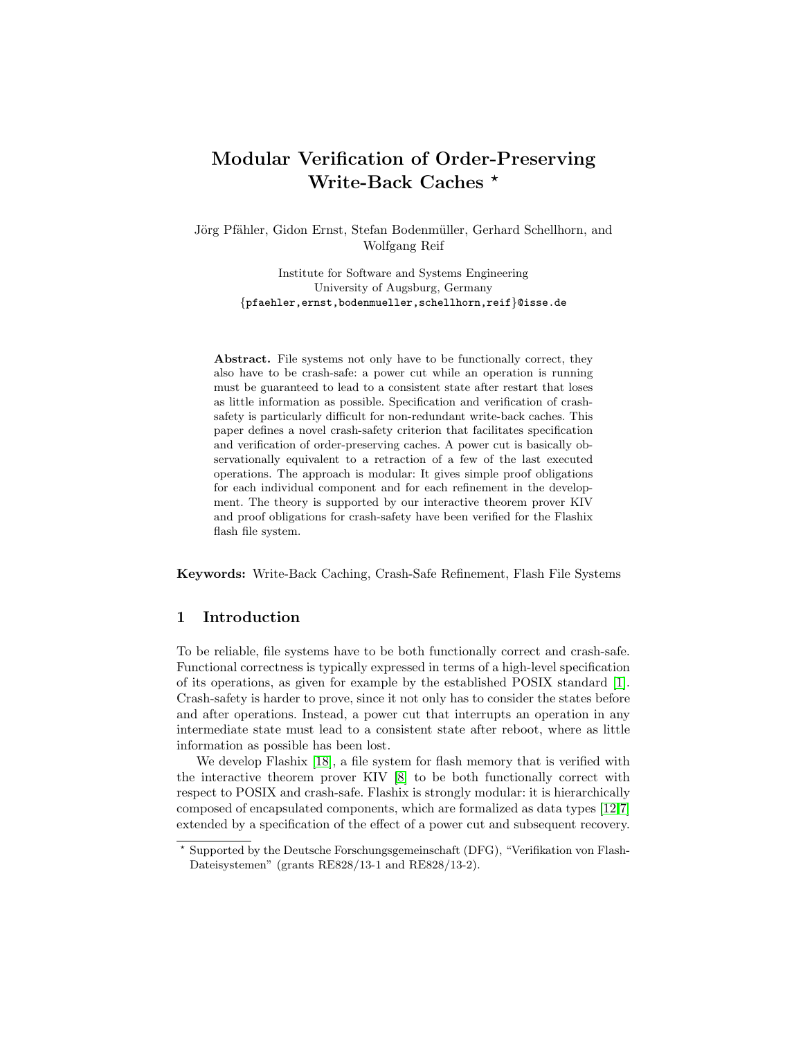# Modular Verification of Order-Preserving Write-Back Caches \*

Jörg Pfähler, Gidon Ernst, Stefan Bodenmüller, Gerhard Schellhorn, and Wolfgang Reif

> Institute for Software and Systems Engineering University of Augsburg, Germany {pfaehler,ernst,bodenmueller,schellhorn,reif}@isse.de

Abstract. File systems not only have to be functionally correct, they also have to be crash-safe: a power cut while an operation is running must be guaranteed to lead to a consistent state after restart that loses as little information as possible. Specification and verification of crashsafety is particularly difficult for non-redundant write-back caches. This paper defines a novel crash-safety criterion that facilitates specification and verification of order-preserving caches. A power cut is basically observationally equivalent to a retraction of a few of the last executed operations. The approach is modular: It gives simple proof obligations for each individual component and for each refinement in the development. The theory is supported by our interactive theorem prover KIV and proof obligations for crash-safety have been verified for the Flashix flash file system.

Keywords: Write-Back Caching, Crash-Safe Refinement, Flash File Systems

# 1 Introduction

To be reliable, file systems have to be both functionally correct and crash-safe. Functional correctness is typically expressed in terms of a high-level specification of its operations, as given for example by the established POSIX standard [\[1\]](#page-13-0). Crash-safety is harder to prove, since it not only has to consider the states before and after operations. Instead, a power cut that interrupts an operation in any intermediate state must lead to a consistent state after reboot, where as little information as possible has been lost.

We develop Flashix [\[18\]](#page-14-0), a file system for flash memory that is verified with the interactive theorem prover KIV [\[8\]](#page-14-1) to be both functionally correct with respect to POSIX and crash-safe. Flashix is strongly modular: it is hierarchically composed of encapsulated components, which are formalized as data types [\[12,](#page-14-2)[7\]](#page-14-3) extended by a specification of the effect of a power cut and subsequent recovery.

<sup>?</sup> Supported by the Deutsche Forschungsgemeinschaft (DFG), "Verifikation von Flash-Dateisystemen" (grants RE828/13-1 and RE828/13-2).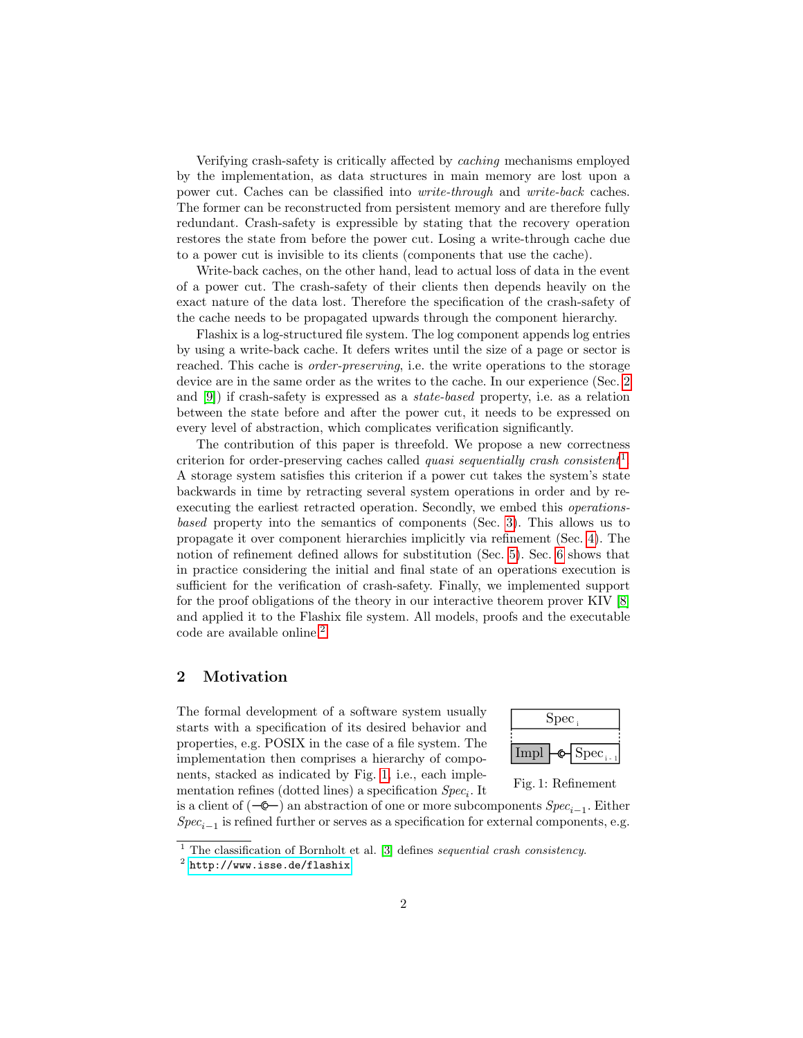Verifying crash-safety is critically affected by caching mechanisms employed by the implementation, as data structures in main memory are lost upon a power cut. Caches can be classified into write-through and write-back caches. The former can be reconstructed from persistent memory and are therefore fully redundant. Crash-safety is expressible by stating that the recovery operation restores the state from before the power cut. Losing a write-through cache due to a power cut is invisible to its clients (components that use the cache).

Write-back caches, on the other hand, lead to actual loss of data in the event of a power cut. The crash-safety of their clients then depends heavily on the exact nature of the data lost. Therefore the specification of the crash-safety of the cache needs to be propagated upwards through the component hierarchy.

Flashix is a log-structured file system. The log component appends log entries by using a write-back cache. It defers writes until the size of a page or sector is reached. This cache is *order-preserving*, i.e. the write operations to the storage device are in the same order as the writes to the cache. In our experience (Sec. [2](#page-1-0) and [\[9\]](#page-14-4)) if crash-safety is expressed as a state-based property, i.e. as a relation between the state before and after the power cut, it needs to be expressed on every level of abstraction, which complicates verification significantly.

The contribution of this paper is threefold. We propose a new correctness criterion for order-preserving caches called *quasi sequentially crash consistent*<sup>[1](#page-1-1)</sup>. A storage system satisfies this criterion if a power cut takes the system's state backwards in time by retracting several system operations in order and by reexecuting the earliest retracted operation. Secondly, we embed this operationsbased property into the semantics of components (Sec. [3\)](#page-4-0). This allows us to propagate it over component hierarchies implicitly via refinement (Sec. [4\)](#page-5-0). The notion of refinement defined allows for substitution (Sec. [5\)](#page-9-0). Sec. [6](#page-10-0) shows that in practice considering the initial and final state of an operations execution is sufficient for the verification of crash-safety. Finally, we implemented support for the proof obligations of the theory in our interactive theorem prover KIV [\[8\]](#page-14-1) and applied it to the Flashix file system. All models, proofs and the executable code are available online.[2](#page-1-2)

# <span id="page-1-0"></span>2 Motivation

The formal development of a software system usually starts with a specification of its desired behavior and properties, e.g. POSIX in the case of a file system. The implementation then comprises a hierarchy of components, stacked as indicated by Fig. [1,](#page-1-3) i.e., each implementation refines (dotted lines) a specification  $Spec_i$ . It

<span id="page-1-3"></span>

Fig. 1: Refinement

is a client of  $( \neg \textcircled{\textcircled{\textcirc}} )$  an abstraction of one or more subcomponents  $Spec_{i-1}$ . Either  $Spec_{i-1}$  is refined further or serves as a specification for external components, e.g.

<span id="page-1-1"></span> $1$  The classification of Bornholt et al. [\[3\]](#page-13-1) defines sequential crash consistency.

<span id="page-1-2"></span> $^2$  <http://www.isse.de/flashix>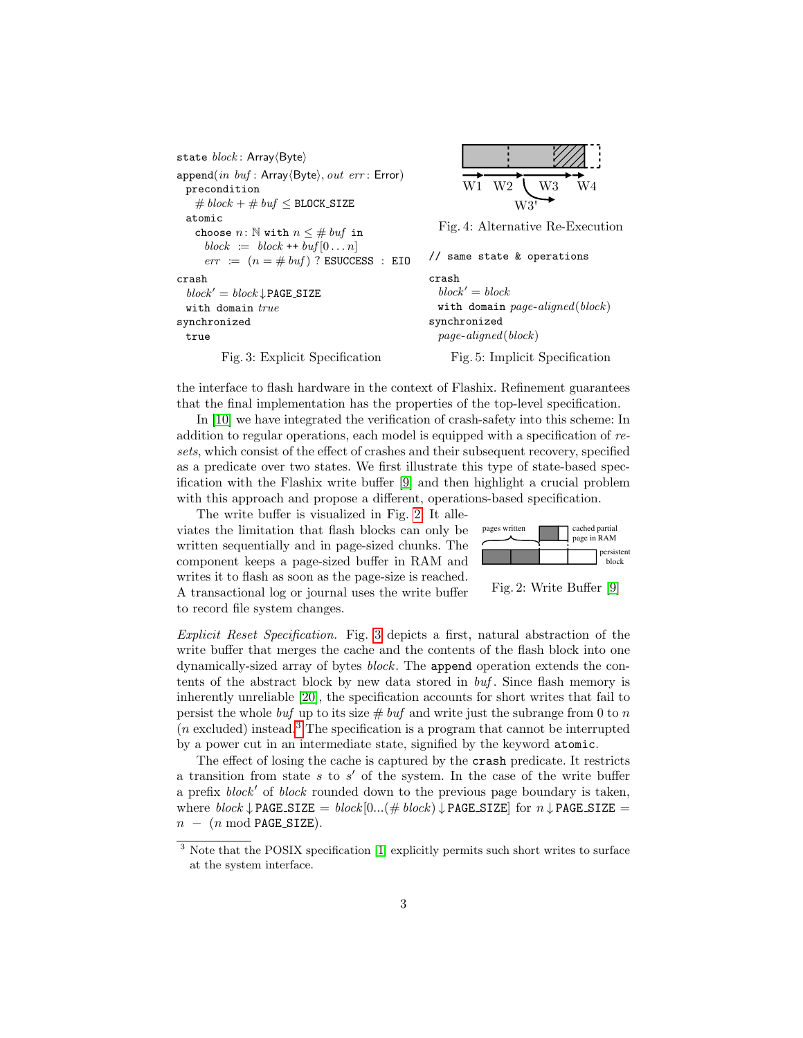```
state block: Array\langleByte\rangleappend(in buf : Array (Byte), out err : Error)
 precondition
   # block + # buf \leq BLOCK_SIZE
 atomic
   choose n: \mathbb{N} with n \leq \text{\#} but in
     block := block + buf[0...n]err := (n = # but)? ESUCCESS : EIO
crash
 block' = block \cup PAGE\_SIZEwith domain true
synchronized
 true
         Fig. 3: Explicit Specification
                                                          W1 W<sub>2</sub> W3W3' 
                                                                                 W4 
                                                     Fig. 4: Alternative Re-Execution
                                                   // same state & operations
                                                   crash
                                                     block' = \mathit{block}with domain page-align‐<i>aligned</i> (block)synchronized
                                                     page-aligned(block)
                                                       Fig. 5: Implicit Specification
```
the interface to flash hardware in the context of Flashix. Refinement guarantees that the final implementation has the properties of the top-level specification.

In [\[10\]](#page-14-5) we have integrated the verification of crash-safety into this scheme: In addition to regular operations, each model is equipped with a specification of resets, which consist of the effect of crashes and their subsequent recovery, specified as a predicate over two states. We first illustrate this type of state-based specification with the Flashix write buffer [\[9\]](#page-14-4) and then highlight a crucial problem with this approach and propose a different, operations-based specification.

The write buffer is visualized in Fig. [2.](#page-2-0) It alleviates the limitation that flash blocks can only be written sequentially and in page-sized chunks. The component keeps a page-sized buffer in RAM and writes it to flash as soon as the page-size is reached. A transactional log or journal uses the write buffer to record file system changes.

<span id="page-2-0"></span>

Fig. 2: Write Buffer [\[9\]](#page-14-4)

Explicit Reset Specification. Fig. [3](#page-2-1) depicts a first, natural abstraction of the write buffer that merges the cache and the contents of the flash block into one dynamically-sized array of bytes block. The append operation extends the contents of the abstract block by new data stored in  $buf$ . Since flash memory is inherently unreliable [\[20\]](#page-14-6), the specification accounts for short writes that fail to persist the whole buf up to its size  $# but$  and write just the subrange from 0 to n  $(n \text{ excluded})$  instead.<sup>[3](#page-2-2)</sup> The specification is a program that cannot be interrupted by a power cut in an intermediate state, signified by the keyword atomic.

The effect of losing the cache is captured by the crash predicate. It restricts a transition from state  $s$  to  $s'$  of the system. In the case of the write buffer a prefix  $block'$  of block rounded down to the previous page boundary is taken, where  $block \downarrow$  PAGE SIZE =  $block[0..(# block) \downarrow$  PAGE SIZE] for  $n \downarrow$  PAGE SIZE =  $n - (n \mod PAGE\_SIZE).$ 

<span id="page-2-2"></span> $3$  Note that the POSIX specification [\[1\]](#page-13-0) explicitly permits such short writes to surface at the system interface.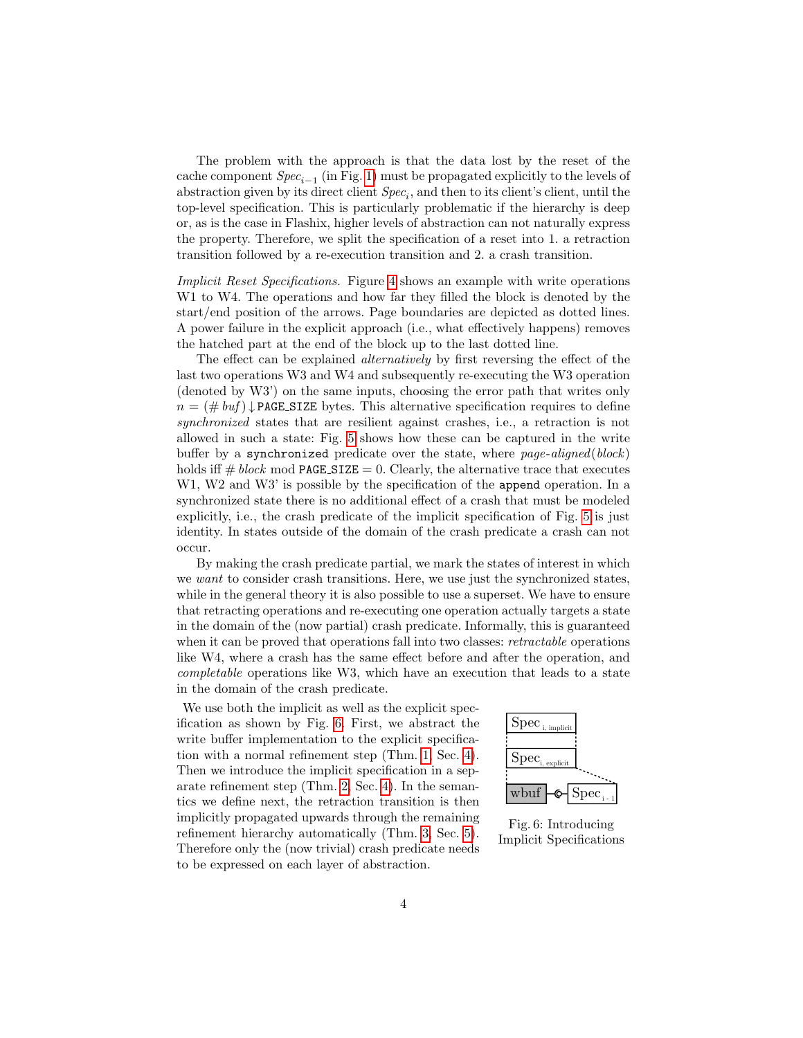The problem with the approach is that the data lost by the reset of the cache component  $Spec_{i-1}$  (in Fig. [1\)](#page-1-3) must be propagated explicitly to the levels of abstraction given by its direct client  $Spec_i$ , and then to its client's client, until the top-level specification. This is particularly problematic if the hierarchy is deep or, as is the case in Flashix, higher levels of abstraction can not naturally express the property. Therefore, we split the specification of a reset into 1. a retraction transition followed by a re-execution transition and 2. a crash transition.

Implicit Reset Specifications. Figure [4](#page-2-1) shows an example with write operations W1 to W4. The operations and how far they filled the block is denoted by the start/end position of the arrows. Page boundaries are depicted as dotted lines. A power failure in the explicit approach (i.e., what effectively happens) removes the hatched part at the end of the block up to the last dotted line.

The effect can be explained alternatively by first reversing the effect of the last two operations W3 and W4 and subsequently re-executing the W3 operation (denoted by W3') on the same inputs, choosing the error path that writes only  $n = (\# \text{buf}) \downarrow$  PAGE SIZE bytes. This alternative specification requires to define synchronized states that are resilient against crashes, i.e., a retraction is not allowed in such a state: Fig. [5](#page-2-1) shows how these can be captured in the write buffer by a synchronized predicate over the state, where page-aligned(block) holds iff  $# block \mod PAGE\_SIZE = 0$ . Clearly, the alternative trace that executes W1, W2 and W3' is possible by the specification of the append operation. In a synchronized state there is no additional effect of a crash that must be modeled explicitly, i.e., the crash predicate of the implicit specification of Fig. [5](#page-2-1) is just identity. In states outside of the domain of the crash predicate a crash can not occur.

By making the crash predicate partial, we mark the states of interest in which we want to consider crash transitions. Here, we use just the synchronized states, while in the general theory it is also possible to use a superset. We have to ensure that retracting operations and re-executing one operation actually targets a state in the domain of the (now partial) crash predicate. Informally, this is guaranteed when it can be proved that operations fall into two classes: *retractable* operations like W4, where a crash has the same effect before and after the operation, and completable operations like W3, which have an execution that leads to a state in the domain of the crash predicate.

We use both the implicit as well as the explicit specification as shown by Fig. [6.](#page-3-0) First, we abstract the write buffer implementation to the explicit specification with a normal refinement step (Thm. [1,](#page-6-0) Sec. [4\)](#page-5-0). Then we introduce the implicit specification in a separate refinement step (Thm. [2,](#page-8-0) Sec. [4\)](#page-5-0). In the semantics we define next, the retraction transition is then implicitly propagated upwards through the remaining refinement hierarchy automatically (Thm. [3,](#page-9-1) Sec. [5\)](#page-9-0). Therefore only the (now trivial) crash predicate needs to be expressed on each layer of abstraction.

<span id="page-3-0"></span>

Fig. 6: Introducing Implicit Specifications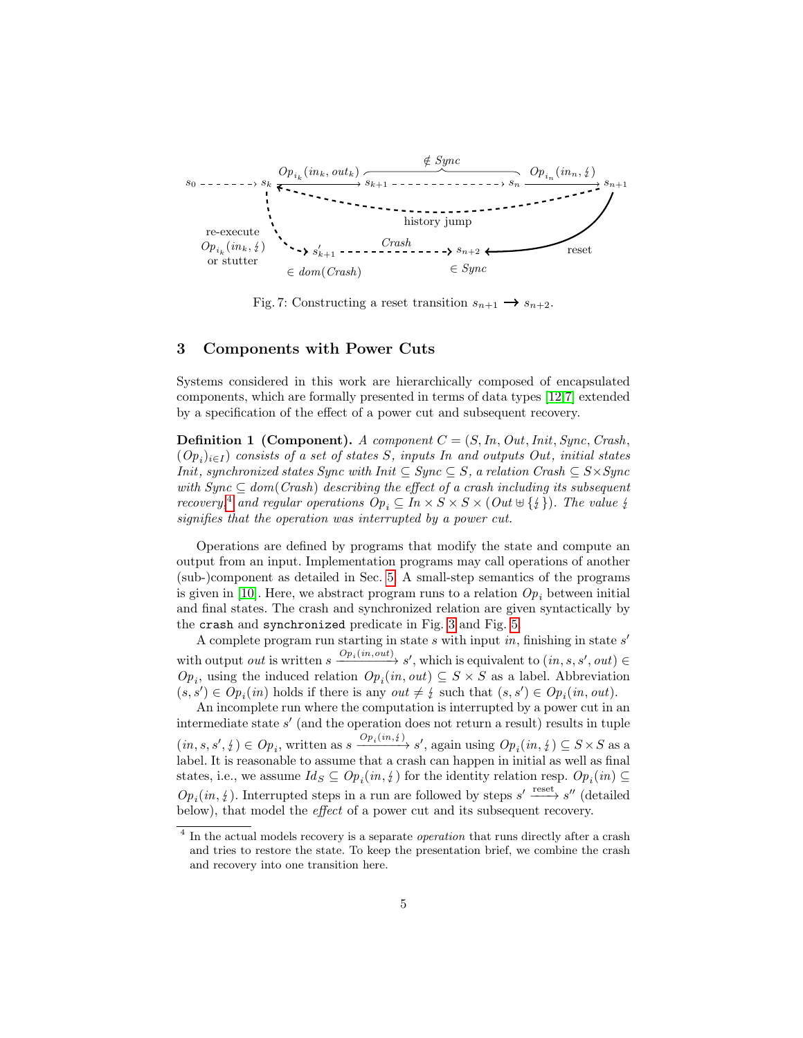<span id="page-4-2"></span>

Fig. 7: Constructing a reset transition  $s_{n+1} \rightarrow s_{n+2}$ .

### <span id="page-4-0"></span>3 Components with Power Cuts

Systems considered in this work are hierarchically composed of encapsulated components, which are formally presented in terms of data types [\[12,](#page-14-2)[7\]](#page-14-3) extended by a specification of the effect of a power cut and subsequent recovery.

<span id="page-4-3"></span>**Definition 1 (Component).** A component  $C = (S, In, Out,Init, Sync, Crash,$  $(O_{i} p_{i})_{i\in I}$  consists of a set of states S, inputs In and outputs Out, initial states *Init, synchronized states Sync with Init*  $\subseteq$  *Sync*  $\subseteq$  *S, a relation Crash*  $\subseteq$  *S*×*Sync* with  $Symc \subseteq dom(Crash)$  describing the effect of a crash including its subsequent recovery,<sup>[4](#page-4-1)</sup> and regular operations  $Op_i \subseteq In \times S \times S \times (Out \cup \{\{\})$ . The value  $\{$ signifies that the operation was interrupted by a power cut.

Operations are defined by programs that modify the state and compute an output from an input. Implementation programs may call operations of another (sub-)component as detailed in Sec. [5.](#page-9-0) A small-step semantics of the programs is given in [\[10\]](#page-14-5). Here, we abstract program runs to a relation  $Op<sub>i</sub>$  between initial and final states. The crash and synchronized relation are given syntactically by the crash and synchronized predicate in Fig. [3](#page-2-1) and Fig. [5.](#page-2-1)

A complete program run starting in state  $s$  with input in, finishing in state  $s'$ with output *out* is written  $s \xrightarrow{Op_i(in,out)} s'$ , which is equivalent to  $(in, s, s', out) \in$  $Op_i$ , using the induced relation  $Op_i(in,out) \subseteq S \times S$  as a label. Abbreviation  $(s, s') \in Op_i(in)$  holds if there is any  $out \neq \xi$  such that  $(s, s') \in Op_i(in, out)$ .<br>An incomplete run where the computation is interrupted by a power cut in

An incomplete run where the computation is interrupted by a power cut in an intermediate state s' (and the operation does not return a result) results in tuple  $(in, s, s', \xi) \in Op_i$ , written as  $s \xrightarrow{Op_i(in, \xi)} s'$ , again using  $Op_i(in, \xi) \subseteq S \times S$  as a label. It is reasonable to assume that a graph can be proper in initial as well as final label. It is reasonable to assume that a crash can happen in initial as well as final states, i.e., we assume  $Id_S \subseteq Op_i(in, \xi)$  for the identity relation resp.  $Op_i(in) \subseteq$  $Op_i(in, \frac{1}{2})$ . Interrupted steps in a run are followed by steps s'  $\frac{\text{reset}}{s}$  s'' (detailed below) that model the effect of a newer sut and its subsequent reserver. below), that model the effect of a power cut and its subsequent recovery.

<span id="page-4-1"></span><sup>&</sup>lt;sup>4</sup> In the actual models recovery is a separate *operation* that runs directly after a crash and tries to restore the state. To keep the presentation brief, we combine the crash and recovery into one transition here.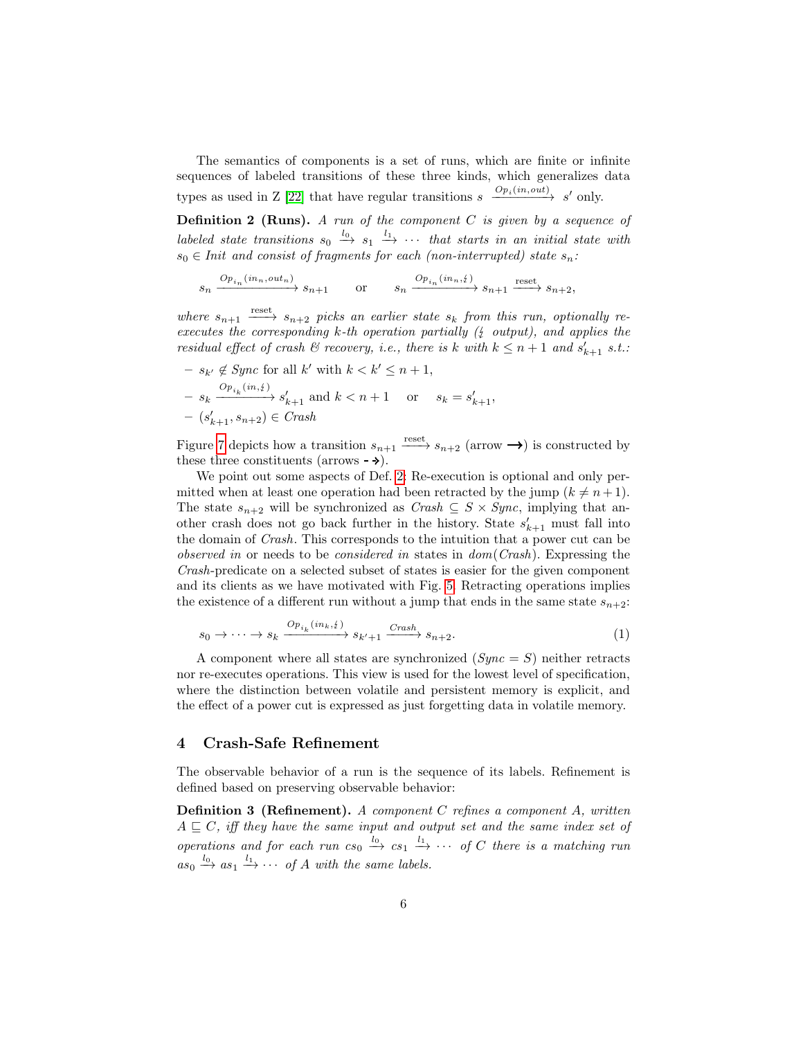The semantics of components is a set of runs, which are finite or infinite sequences of labeled transitions of these three kinds, which generalizes data types as used in Z [\[22\]](#page-14-7) that have regular transitions  $s \xrightarrow{Op_i(in,out)} s'$  only.

<span id="page-5-1"></span>**Definition 2 (Runs).** A run of the component C is given by a sequence of labeled state transitions  $s_0 \stackrel{l_0}{\rightarrow} s_1 \stackrel{l_1}{\rightarrow} \cdots$  that starts in an initial state with  $s_0 \in Init$  and consist of fragments for each (non-interrupted) state  $s_n$ :

$$
s_n \xrightarrow{Op_{i_n}(in_n,out_n)} s_{n+1} \qquad \text{or} \qquad s_n \xrightarrow{Op_{i_n}(in_n,t)} s_{n+1} \xrightarrow{\text{reset}} s_{n+2},
$$

where  $s_{n+1} \xrightarrow{\text{reset}} s_{n+2}$  picks an earlier state  $s_k$  from this run, optionally reexecutes the corresponding k-th operation partially  $(f$  output), and applies the residual effect of crash  $\mathcal{B}$  recovery, i.e., there is k with  $k \leq n+1$  and  $s'_{k+1}$  s.t.:

$$
\begin{aligned} & - \ s_{k'} \not\in \textit{Sync} \text{ for all } k' \text{ with } k < k' \leq n+1, \\ & - \ s_{k} \xrightarrow{ \textit{Op}_{i_{k}}(in, i) } s'_{k+1} \text{ and } k < n+1 \quad \text{ or } \quad s_{k} = s'_{k+1}, \\ & - \ (s'_{k+1}, s_{n+2}) \in \textit{Crash} \end{aligned}
$$

Figure [7](#page-4-2) depicts how a transition  $s_{n+1} \xrightarrow{\text{reset}} s_{n+2}$  (arrow  $\rightarrow$ ) is constructed by these three constituents (arrows  $\rightarrow$ ).

We point out some aspects of Def. [2:](#page-5-1) Re-execution is optional and only permitted when at least one operation had been retracted by the jump ( $k \neq n+1$ ). The state  $s_{n+2}$  will be synchronized as  $Crash \subseteq S \times Sync$ , implying that another crash does not go back further in the history. State  $s'_{k+1}$  must fall into the domain of Crash. This corresponds to the intuition that a power cut can be observed in or needs to be considered in states in dom(Crash). Expressing the Crash-predicate on a selected subset of states is easier for the given component and its clients as we have motivated with Fig. [5.](#page-2-1) Retracting operations implies the existence of a different run without a jump that ends in the same state  $s_{n+2}$ :

<span id="page-5-2"></span>
$$
s_0 \to \cdots \to s_k \xrightarrow{Op_{i_k}(in_k, \xi)} s_{k'+1} \xrightarrow{Crash} s_{n+2}.
$$
 (1)

A component where all states are synchronized  $(Sunc = S)$  neither retracts nor re-executes operations. This view is used for the lowest level of specification, where the distinction between volatile and persistent memory is explicit, and the effect of a power cut is expressed as just forgetting data in volatile memory.

#### <span id="page-5-0"></span>4 Crash-Safe Refinement

The observable behavior of a run is the sequence of its labels. Refinement is defined based on preserving observable behavior:

<span id="page-5-3"></span>Definition 3 (Refinement). A component C refines a component A, written  $A \subseteq C$ , iff they have the same input and output set and the same index set of operations and for each run  $cs_0 \stackrel{l_0}{\rightarrow} cs_1 \stackrel{l_1}{\rightarrow} \cdots$  of C there is a matching run  $as_0 \stackrel{l_0}{\longrightarrow} as_1 \stackrel{l_1}{\longrightarrow} \cdots$  of A with the same labels.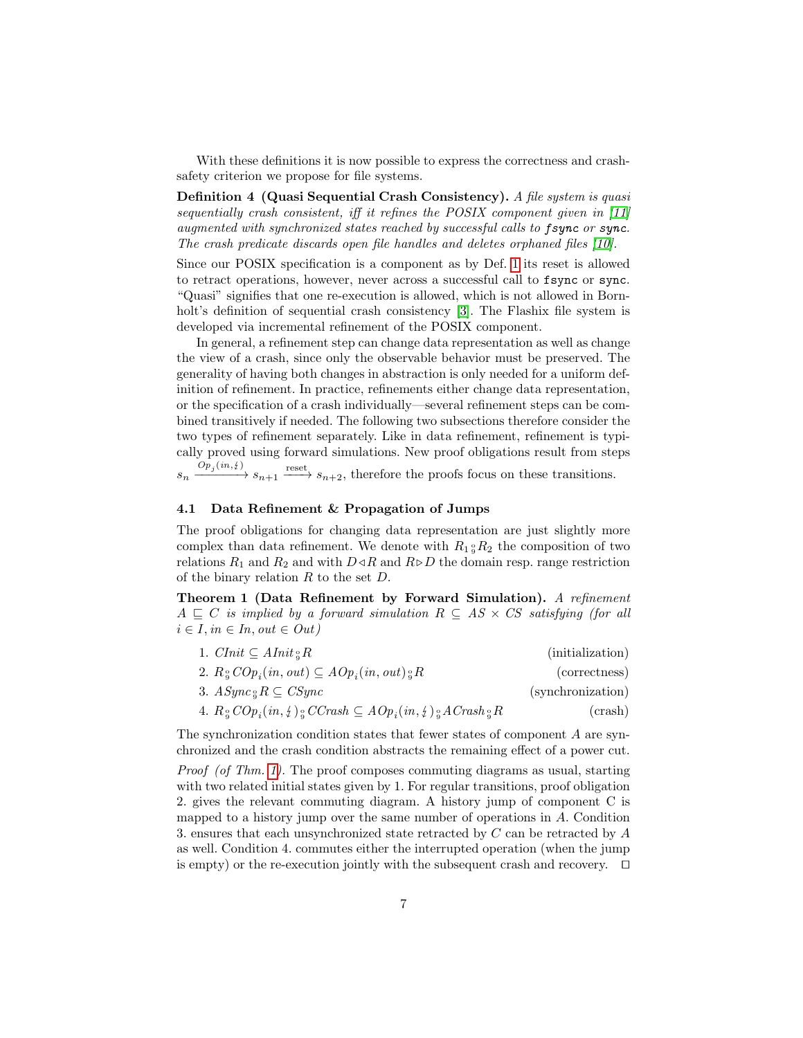<span id="page-6-1"></span>With these definitions it is now possible to express the correctness and crashsafety criterion we propose for file systems.

Definition 4 (Quasi Sequential Crash Consistency). A file system is quasi sequentially crash consistent, iff it refines the POSIX component given in [\[11\]](#page-14-8) augmented with synchronized states reached by successful calls to fsync or sync. The crash predicate discards open file handles and deletes orphaned files [\[10\]](#page-14-5).

Since our POSIX specification is a component as by Def. [1](#page-4-3) its reset is allowed to retract operations, however, never across a successful call to fsync or sync. "Quasi" signifies that one re-execution is allowed, which is not allowed in Born-holt's definition of sequential crash consistency [\[3\]](#page-13-1). The Flashix file system is developed via incremental refinement of the POSIX component.

In general, a refinement step can change data representation as well as change the view of a crash, since only the observable behavior must be preserved. The generality of having both changes in abstraction is only needed for a uniform definition of refinement. In practice, refinements either change data representation, or the specification of a crash individually—several refinement steps can be combined transitively if needed. The following two subsections therefore consider the two types of refinement separately. Like in data refinement, refinement is typically proved using forward simulations. New proof obligations result from steps  $s_n \xrightarrow{Op_j(in, t)} s_{n+1} \xrightarrow{\text{reset}} s_{n+2}$ , therefore the proofs focus on these transitions.

#### 4.1 Data Refinement & Propagation of Jumps

The proof obligations for changing data representation are just slightly more complex than data refinement. We denote with  $R_{1\,9}^{\circ}R_2$  the composition of two relations  $R_1$  and  $R_2$  and with  $D \triangleleft R$  and  $R \triangleright D$  the domain resp. range restriction of the binary relation  $R$  to the set  $D$ .

Theorem 1 (Data Refinement by Forward Simulation). A refinement  $A \subseteq C$  is implied by a forward simulation  $R \subseteq AS \times CS$  satisfying (for all  $i \in I$ , in  $\in In$ , out  $\in Out$ 

<span id="page-6-0"></span>

| 1. $CInit \subseteq AInit \, _{\circ} R$                                                                                                       | (initialization)  |
|------------------------------------------------------------------------------------------------------------------------------------------------|-------------------|
| 2. $R_{\alpha}^{\circ} \mathit{COp}_i(in, out) \subseteq \mathit{AOp}_i(in, out)_{\alpha}^{\circ}R$                                            | (correctness)     |
| 3. $A\text{Sync}_{\frac{\alpha}{\alpha}}R \subseteq \text{CSync}$                                                                              | (synchronization) |
| 4. $R_{\alpha}^{\circ}COp_i(in, \frac{1}{2})_{\alpha}^{\circ}CCrash \subseteq AOp_i(in, \frac{1}{2})_{\alpha}^{\circ}ACrash_{\alpha}^{\circ}R$ | (crash)           |
|                                                                                                                                                |                   |

The synchronization condition states that fewer states of component A are synchronized and the crash condition abstracts the remaining effect of a power cut.

Proof (of Thm. [1\)](#page-6-0). The proof composes commuting diagrams as usual, starting with two related initial states given by 1. For regular transitions, proof obligation 2. gives the relevant commuting diagram. A history jump of component C is mapped to a history jump over the same number of operations in A. Condition 3. ensures that each unsynchronized state retracted by C can be retracted by A as well. Condition 4. commutes either the interrupted operation (when the jump is empty) or the re-execution jointly with the subsequent crash and recovery.  $\square$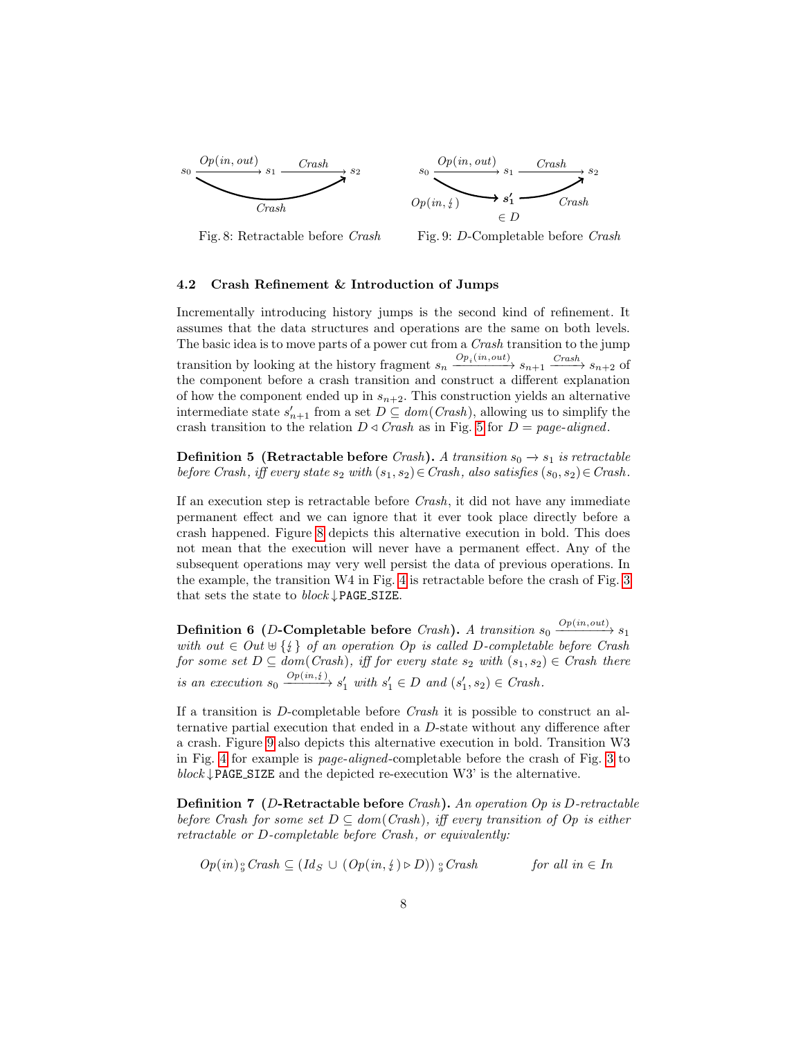<span id="page-7-0"></span>

Fig. 8: Retractable before Crash

Fig. 9: D-Completable before Crash

#### 4.2 Crash Refinement & Introduction of Jumps

Incrementally introducing history jumps is the second kind of refinement. It assumes that the data structures and operations are the same on both levels. The basic idea is to move parts of a power cut from a *Crash* transition to the jump transition by looking at the history fragment  $s_n \xrightarrow{Op_i(in,out)} s_{n+1} \xrightarrow{Crash} s_{n+2}$  of the component before a crash transition and construct a different explanation of how the component ended up in  $s_{n+2}$ . This construction yields an alternative intermediate state  $s'_{n+1}$  from a set  $D \subseteq dom(Crash)$ , allowing us to simplify the crash transition to the relation  $D \triangleleft Crash$  as in Fig. [5](#page-2-1) for  $D = page\text{-}aligned$ .

<span id="page-7-1"></span>**Definition 5** (Retractable before Crash). A transition  $s_0 \rightarrow s_1$  is retractable before Crash, iff every state  $s_2$  with  $(s_1, s_2) \in Crash$ , also satisfies  $(s_0, s_2) \in Crash$ .

If an execution step is retractable before Crash, it did not have any immediate permanent effect and we can ignore that it ever took place directly before a crash happened. Figure [8](#page-7-0) depicts this alternative execution in bold. This does not mean that the execution will never have a permanent effect. Any of the subsequent operations may very well persist the data of previous operations. In the example, the transition W4 in Fig. [4](#page-2-1) is retractable before the crash of Fig. [3](#page-2-1) that sets the state to  $block \downarrow$ PAGE\_SIZE.

<span id="page-7-2"></span>Definition 6 (D-Completable before Crash). A transition  $s_0 \xrightarrow{Op(in,out)} s_1$ with out  $\in$  Out  $\forall$  {  $\{$  } of an operation Op is called D-completable before Crash for some set  $D \subseteq dom(Crash)$ , iff for every state  $s_2$  with  $(s_1, s_2) \in Crash$  there is an execution  $s_0 \xrightarrow{Op(in, t)} s'_1$  with  $s'_1 \in D$  and  $(s'_1, s_2) \in Crash$ .

If a transition is D-completable before Crash it is possible to construct an alternative partial execution that ended in a D-state without any difference after a crash. Figure [9](#page-7-0) also depicts this alternative execution in bold. Transition W3 in Fig. [4](#page-2-1) for example is page-aligned-completable before the crash of Fig. [3](#page-2-1) to  $block \downarrow$ PAGE SIZE and the depicted re-execution W3' is the alternative.

**Definition 7** (D-Retractable before Crash). An operation Op is D-retractable before Crash for some set  $D \subseteq dom(Crash)$ , iff every transition of Op is either retractable or  $D$ -completable before Crash, or equivalently:

$$
Op(in)_{\frac{\alpha}{9}}Crash \subseteq (Id_S \cup (Op(in,\xi) \triangleright D))_{\frac{\alpha}{9}}Crash
$$
 for all  $in \in In$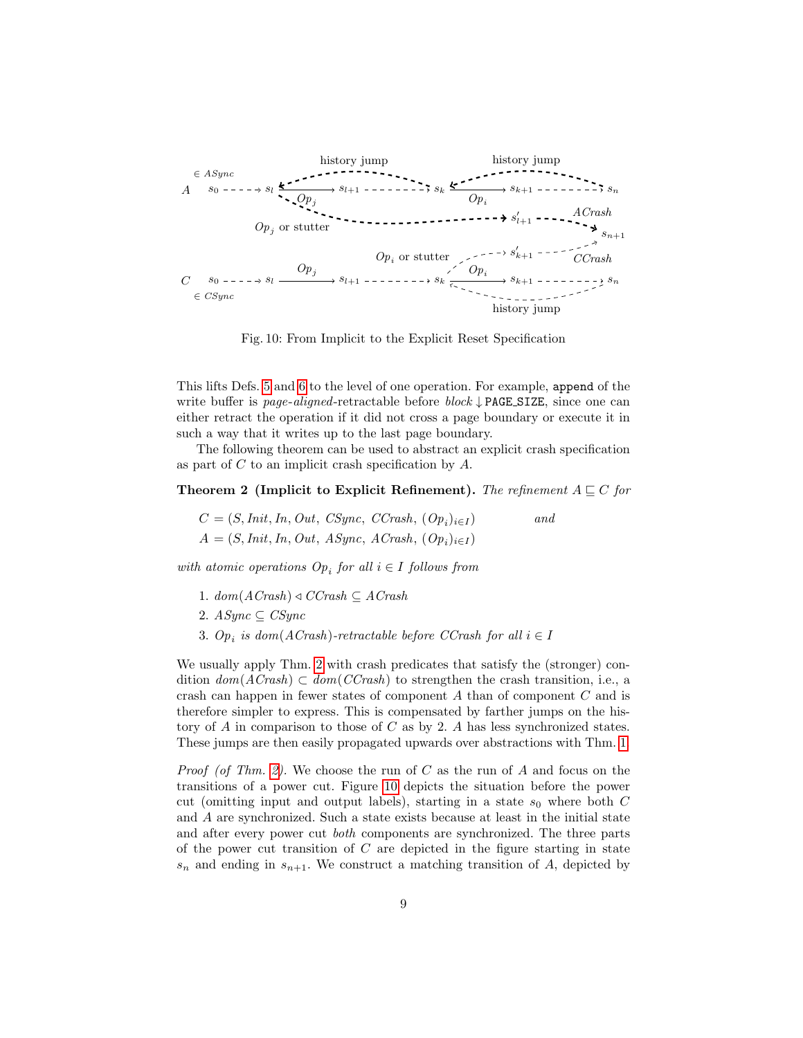<span id="page-8-1"></span>

<span id="page-8-0"></span>Fig. 10: From Implicit to the Explicit Reset Specification

This lifts Defs. [5](#page-7-1) and [6](#page-7-2) to the level of one operation. For example, append of the write buffer is page-aligned-retractable before block  $\downarrow$  PAGE SIZE, since one can either retract the operation if it did not cross a page boundary or execute it in such a way that it writes up to the last page boundary.

The following theorem can be used to abstract an explicit crash specification as part of  $C$  to an implicit crash specification by  $A$ .

**Theorem 2 (Implicit to Explicit Refinement).** The refinement  $A \sqsubseteq C$  for

 $C = (S,Init, In, Out, CSync, CCrash, (Op<sub>i</sub>)<sub>i \in I</sub>)$  and  $A = (S,Init, In, Out, Async, ACrash, (Op<sub>i</sub>)<sub>i \in I</sub>)$ 

with atomic operations  $Op_i$  for all  $i \in I$  follows from

- 1.  $dom(ACrash) \triangleleft CCrash \subseteq ACrash$
- 2.  $A\text{Sync} \subseteq \text{C}\text{Sync}$
- 3. O $p_i$  is dom(ACrash)-retractable before CCrash for all  $i \in I$

We usually apply Thm. [2](#page-8-0) with crash predicates that satisfy the (stronger) condition  $dom(ACrash) \subset dom(CCrash)$  to strengthen the crash transition, i.e., a crash can happen in fewer states of component A than of component C and is therefore simpler to express. This is compensated by farther jumps on the history of  $A$  in comparison to those of  $C$  as by 2.  $A$  has less synchronized states. These jumps are then easily propagated upwards over abstractions with Thm. [1.](#page-6-0)

*Proof (of Thm. [2\)](#page-8-0).* We choose the run of C as the run of A and focus on the transitions of a power cut. Figure [10](#page-8-1) depicts the situation before the power cut (omitting input and output labels), starting in a state  $s_0$  where both C and A are synchronized. Such a state exists because at least in the initial state and after every power cut both components are synchronized. The three parts of the power cut transition of  $C$  are depicted in the figure starting in state  $s_n$  and ending in  $s_{n+1}$ . We construct a matching transition of A, depicted by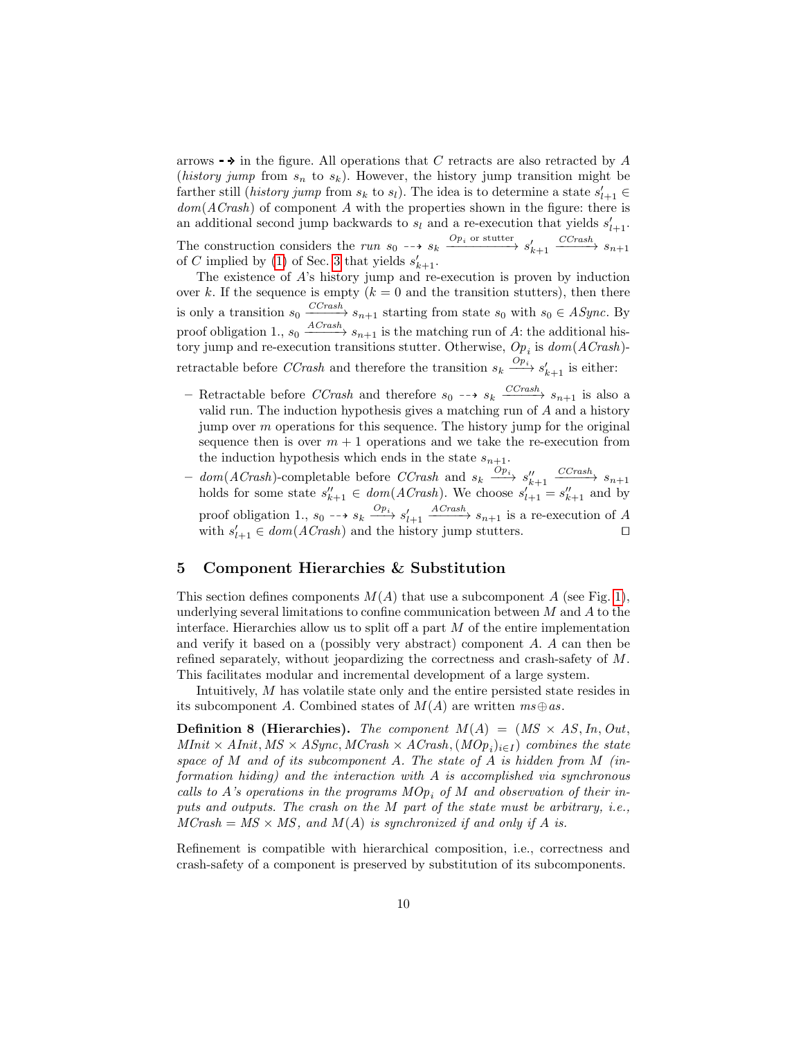arrows  $\rightarrow$  in the figure. All operations that C retracts are also retracted by A (*history jump* from  $s_n$  to  $s_k$ ). However, the history jump transition might be farther still (history jump from  $s_k$  to  $s_l$ ). The idea is to determine a state  $s'_{l+1} \in$  $dom(ACrash)$  of component A with the properties shown in the figure: there is an additional second jump backwards to  $s_l$  and a re-execution that yields  $s'_{l+1}$ . The construction considers the *run*  $s_0$  --→  $s_k$   $\xrightarrow{Op_i \text{ or stutter}} s'_{k+1}$  $\xrightarrow{CCrash} s_{n+1}$ of C implied by [\(1\)](#page-5-2) of Sec. [3](#page-4-0) that yields  $s'_{k+1}$ .

The existence of A's history jump and re-execution is proven by induction over k. If the sequence is empty  $(k = 0$  and the transition stutters), then there is only a transition  $s_0 \xrightarrow{CCrash} s_{n+1}$  starting from state  $s_0$  with  $s_0 \in ASync$ . By proof obligation 1.,  $s_0 \xrightarrow{ACrash} s_{n+1}$  is the matching run of A: the additional history jump and re-execution transitions stutter. Otherwise,  $Op_i$  is  $dom(ACrash)$ retractable before *CCrash* and therefore the transition  $s_k \xrightarrow{Op_i} s'_{k+1}$  is either:

- − Retractable before *CCrash* and therefore  $s_0$  --→  $s_k$   $\xrightarrow{CCrash} s_{n+1}$  is also a valid run. The induction hypothesis gives a matching run of A and a history jump over  $m$  operations for this sequence. The history jump for the original sequence then is over  $m + 1$  operations and we take the re-execution from the induction hypothesis which ends in the state  $s_{n+1}$ .
- dom(ACrash)-completable before CCrash and  $s_k \xrightarrow{Op_i} s''_{k+1}$  $\xrightarrow{CCrash} s_{n+1}$ holds for some state  $s''_{k+1} \in dom(ACrash)$ . We choose  $s'_{l+1} = s''_{k+1}$  and by proof obligation 1.,  $s_0 \dashrightarrow s_k \xrightarrow{Op_i} s'_{i+1}$  $\xrightarrow{ACrash} s_{n+1}$  is a re-execution of A with  $s'_{l+1} \in dom(ACrash)$  and the history jump stutters.

# <span id="page-9-0"></span>5 Component Hierarchies & Substitution

This section defines components  $M(A)$  that use a subcomponent A (see Fig. [1\)](#page-1-3), underlying several limitations to confine communication between  $M$  and  $A$  to the interface. Hierarchies allow us to split off a part  $M$  of the entire implementation and verify it based on a (possibly very abstract) component A. A can then be refined separately, without jeopardizing the correctness and crash-safety of M. This facilitates modular and incremental development of a large system.

Intuitively, M has volatile state only and the entire persisted state resides in its subcomponent A. Combined states of  $M(A)$  are written  $ms \oplus as$ .

<span id="page-9-2"></span>**Definition 8 (Hierarchies).** The component  $M(A) = (MS \times AS, In, Out,$  $MInit \times Ahit, MS \times ASync, MCrash \times ACrash, (MOp_i)_{i \in I})$  combines the state space of M and of its subcomponent A. The state of A is hidden from M (information hiding) and the interaction with A is accomplished via synchronous calls to A's operations in the programs  $MOp_i$  of M and observation of their inputs and outputs. The crash on the M part of the state must be arbitrary, i.e.,  $MCrash = MS \times MS$ , and  $M(A)$  is synchronized if and only if A is.

<span id="page-9-1"></span>Refinement is compatible with hierarchical composition, i.e., correctness and crash-safety of a component is preserved by substitution of its subcomponents.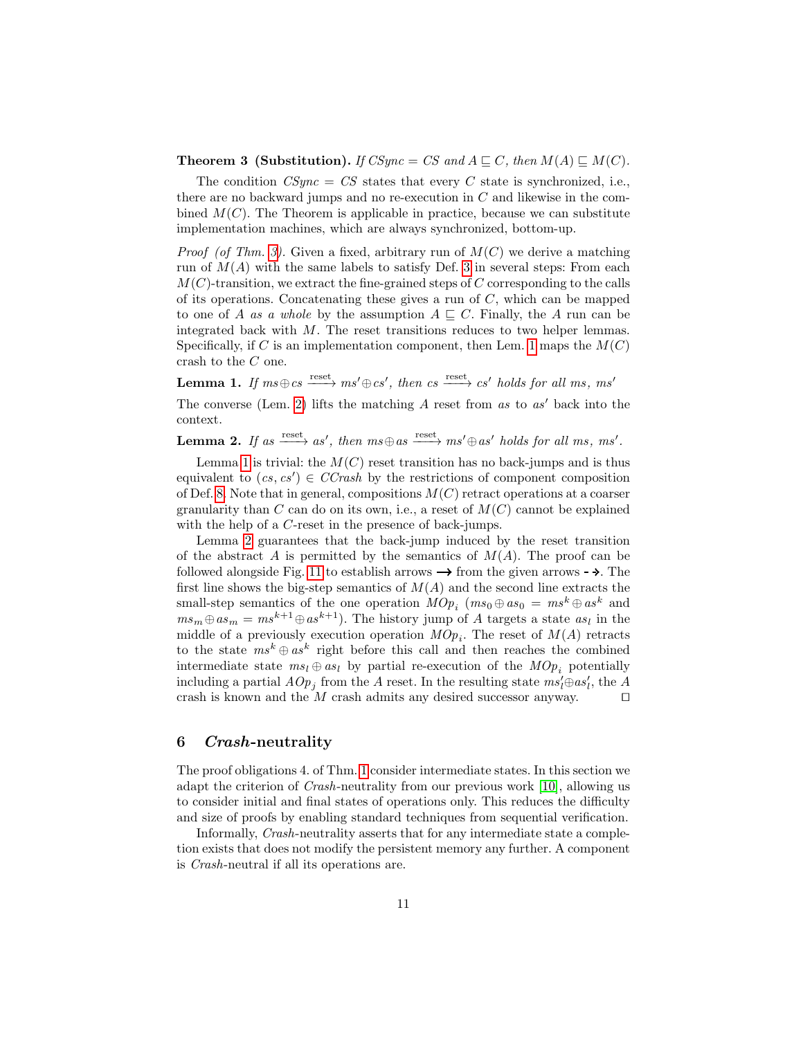**Theorem 3 (Substitution).** If  $C\text{Sync} = CS$  and  $A \sqsubseteq C$ , then  $M(A) \sqsubseteq M(C)$ .

The condition  $CS$  states that every C state is synchronized, i.e., there are no backward jumps and no re-execution in C and likewise in the combined  $M(C)$ . The Theorem is applicable in practice, because we can substitute implementation machines, which are always synchronized, bottom-up.

*Proof (of Thm. [3\)](#page-9-1).* Given a fixed, arbitrary run of  $M(C)$  we derive a matching run of  $M(A)$  with the same labels to satisfy Def. [3](#page-5-3) in several steps: From each  $M(C)$ -transition, we extract the fine-grained steps of C corresponding to the calls of its operations. Concatenating these gives a run of  $C$ , which can be mapped to one of A as a whole by the assumption  $A \subseteq C$ . Finally, the A run can be integrated back with  $M$ . The reset transitions reduces to two helper lemmas. Specifically, if C is an implementation component, then Lem. [1](#page-10-1) maps the  $M(C)$ crash to the C one.

<span id="page-10-1"></span>**Lemma 1.** If  $ms \oplus cs \xrightarrow{reset} ms' \oplus cs'$ , then  $cs \xrightarrow{reset} cs'$  holds for all ms,  $ms'$ 

<span id="page-10-2"></span>The converse (Lem. [2\)](#page-10-2) lifts the matching  $A$  reset from as to as' back into the context.

**Lemma 2.** If as  $\xrightarrow{\text{reset}}$  as', then  $ms \oplus as \xrightarrow{\text{reset}} ms' \oplus as'$  holds for all ms, ms'.

Lemma [1](#page-10-1) is trivial: the  $M(C)$  reset transition has no back-jumps and is thus equivalent to  $(cs, cs') \in CCrash$  by the restrictions of component composition of Def. [8.](#page-9-2) Note that in general, compositions  $M(C)$  retract operations at a coarser granularity than C can do on its own, i.e., a reset of  $M(C)$  cannot be explained with the help of a *C*-reset in the presence of back-jumps.

Lemma [2](#page-10-2) guarantees that the back-jump induced by the reset transition of the abstract A is permitted by the semantics of  $M(A)$ . The proof can be followed alongside Fig. [11](#page-11-0) to establish arrows  $\rightarrow$  from the given arrows  $\rightarrow$ . The first line shows the big-step semantics of  $M(A)$  and the second line extracts the small-step semantics of the one operation  $MOp_i$   $(ms_0 \oplus as_0 = ms^k \oplus as^k$  and  $ms_m \oplus as_m = ms^{k+1} \oplus as^{k+1}$ . The history jump of A targets a state  $as_l$  in the middle of a previously execution operation  $MOp_i$ . The reset of  $M(A)$  retracts to the state  $ms^k \oplus as^k$  right before this call and then reaches the combined intermediate state  $ms_l \oplus as_l$  by partial re-execution of the  $MOp_i$  potentially including a partial  $AOp_j$  from the A reset. In the resulting state  $ms_i^j \oplus ss_i^j$ , the A crash is known and the  $M$  crash admits any desired successor anyway.  $\Box$ 

# <span id="page-10-0"></span>6 Crash-neutrality

The proof obligations 4. of Thm. [1](#page-6-0) consider intermediate states. In this section we adapt the criterion of Crash-neutrality from our previous work [\[10\]](#page-14-5), allowing us to consider initial and final states of operations only. This reduces the difficulty and size of proofs by enabling standard techniques from sequential verification.

Informally, Crash-neutrality asserts that for any intermediate state a completion exists that does not modify the persistent memory any further. A component is Crash-neutral if all its operations are.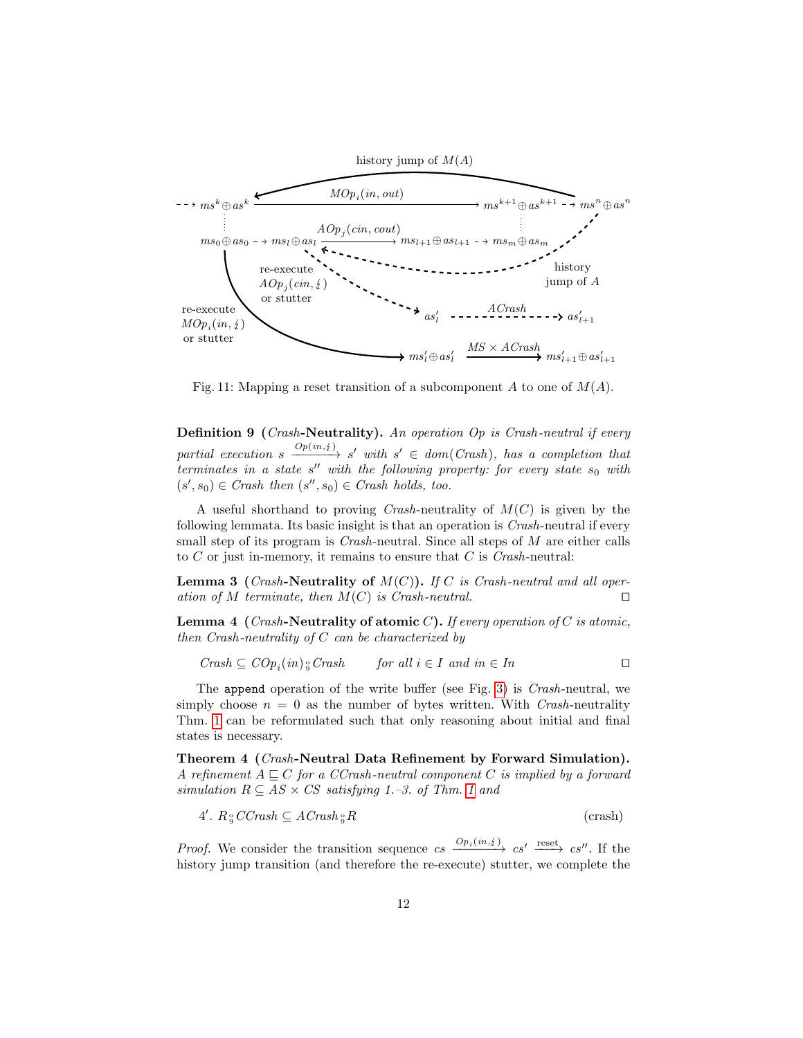<span id="page-11-0"></span>

Fig. 11: Mapping a reset transition of a subcomponent A to one of  $M(A)$ .

Definition 9 (Crash-Neutrality). An operation Op is Crash-neutral if every partial execution  $s \xrightarrow{Op(in, t)} s'$  with  $s' \in dom(Crash)$ , has a completion that terminates in a state  $s''$  with the following property: for every state  $s_0$  with  $(s', s_0) \in$  Crash then  $(s'', s_0) \in$  Crash holds, too.

A useful shorthand to proving *Crash*-neutrality of  $M(C)$  is given by the following lemmata. Its basic insight is that an operation is Crash-neutral if every small step of its program is *Crash*-neutral. Since all steps of  $M$  are either calls to  $C$  or just in-memory, it remains to ensure that  $C$  is  $Crash$ -neutral:

**Lemma 3** (Crash-Neutrality of  $M(C)$ ). If C is Crash-neutral and all operation of M terminate, then  $M(C)$  is Crash-neutral.

**Lemma 4** (Crash-Neutrality of atomic C). If every operation of C is atomic, then Crash-neutrality of  $C$  can be characterized by

$$
Crash \subseteq COp_i(in)_\mathfrak{g} Crash \qquad for \ all \ i \in I \ and \ in \in In
$$

The append operation of the write buffer (see Fig. [3\)](#page-2-1) is Crash-neutral, we simply choose  $n = 0$  as the number of bytes written. With *Crash*-neutrality Thm. [1](#page-6-0) can be reformulated such that only reasoning about initial and final states is necessary.

Theorem 4 (Crash-Neutral Data Refinement by Forward Simulation). A refinement  $A \sqsubseteq C$  for a CCrash-neutral component C is implied by a forward simulation  $R \subseteq AS \times CS$  satisfying [1](#page-6-0).–3. of Thm. 1 and

$$
4'. R_{9}^{\circ} CCrash \subseteq ACrash_{9}^{\circ} R
$$
 (crash)

*Proof.* We consider the transition sequence  $cs \xrightarrow{Op_i(in, t)} cs' \xrightarrow{reset} cs''.$  If the history jump transition (and therefore the re-execute) stutter, we complete the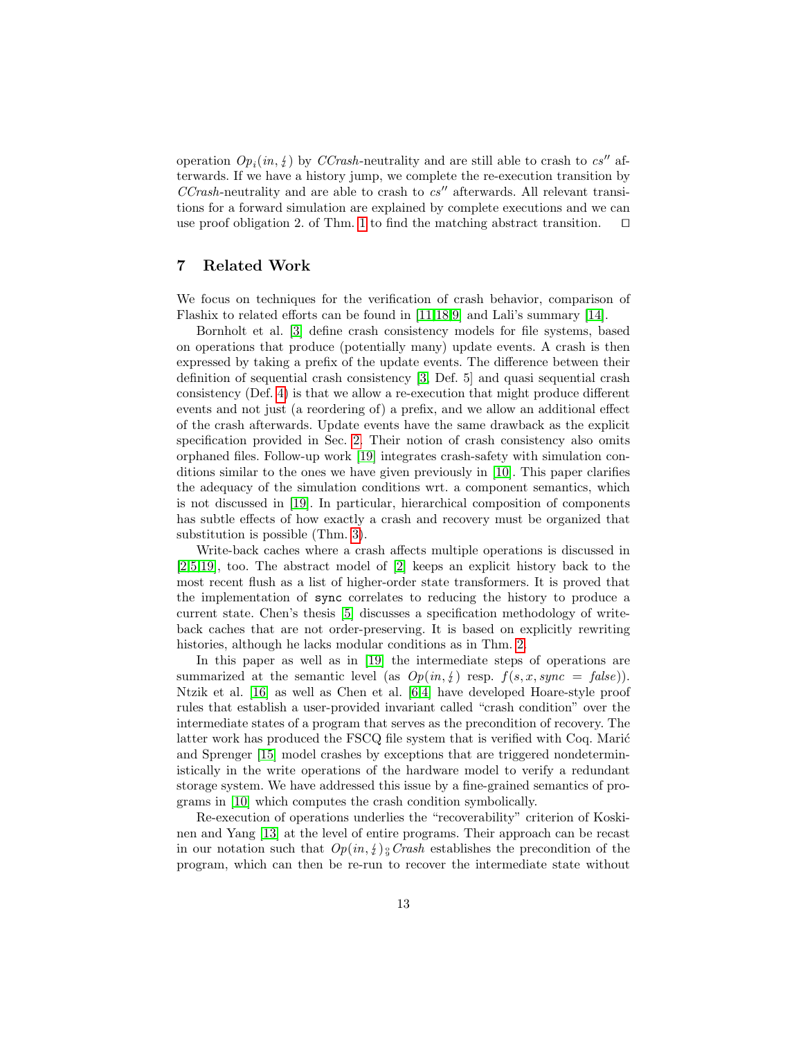operation  $Op_i(in, \xi)$  by *CCrash*-neutrality and are still able to crash to cs<sup>*n*</sup> af-<br>termede. If we have a history jump, we complete the re-execution transition by terwards. If we have a history jump, we complete the re-execution transition by  $CCrash$ -neutrality and are able to crash to  $cs''$  afterwards. All relevant transitions for a forward simulation are explained by complete executions and we can use proof obligation 2. of Thm. [1](#page-6-0) to find the matching abstract transition.  $\square$ 

## 7 Related Work

We focus on techniques for the verification of crash behavior, comparison of Flashix to related efforts can be found in [\[11,](#page-14-8)[18](#page-14-0)[,9\]](#page-14-4) and Lali's summary [\[14\]](#page-14-9).

Bornholt et al. [\[3\]](#page-13-1) define crash consistency models for file systems, based on operations that produce (potentially many) update events. A crash is then expressed by taking a prefix of the update events. The difference between their definition of sequential crash consistency [\[3,](#page-13-1) Def. 5] and quasi sequential crash consistency (Def. [4\)](#page-6-1) is that we allow a re-execution that might produce different events and not just (a reordering of) a prefix, and we allow an additional effect of the crash afterwards. Update events have the same drawback as the explicit specification provided in Sec. [2.](#page-1-0) Their notion of crash consistency also omits orphaned files. Follow-up work [\[19\]](#page-14-10) integrates crash-safety with simulation conditions similar to the ones we have given previously in [\[10\]](#page-14-5). This paper clarifies the adequacy of the simulation conditions wrt. a component semantics, which is not discussed in [\[19\]](#page-14-10). In particular, hierarchical composition of components has subtle effects of how exactly a crash and recovery must be organized that substitution is possible (Thm. [3\)](#page-9-1).

Write-back caches where a crash affects multiple operations is discussed in [\[2,](#page-13-2)[5](#page-14-11)[,19\]](#page-14-10), too. The abstract model of [\[2\]](#page-13-2) keeps an explicit history back to the most recent flush as a list of higher-order state transformers. It is proved that the implementation of sync correlates to reducing the history to produce a current state. Chen's thesis [\[5\]](#page-14-11) discusses a specification methodology of writeback caches that are not order-preserving. It is based on explicitly rewriting histories, although he lacks modular conditions as in Thm. [2.](#page-8-0)

In this paper as well as in [\[19\]](#page-14-10) the intermediate steps of operations are summarized at the semantic level (as  $Op(in, \xi)$  resp.  $f(s, x, sync = false)$ ). Ntzik et al. [\[16\]](#page-14-12) as well as Chen et al. [\[6,](#page-14-13)[4\]](#page-14-14) have developed Hoare-style proof rules that establish a user-provided invariant called "crash condition" over the intermediate states of a program that serves as the precondition of recovery. The latter work has produced the  $FSCQ$  file system that is verified with  $Coq$ . Mari $\acute{c}$ and Sprenger [\[15\]](#page-14-15) model crashes by exceptions that are triggered nondeterministically in the write operations of the hardware model to verify a redundant storage system. We have addressed this issue by a fine-grained semantics of programs in [\[10\]](#page-14-5) which computes the crash condition symbolically.

Re-execution of operations underlies the "recoverability" criterion of Koskinen and Yang [\[13\]](#page-14-16) at the level of entire programs. Their approach can be recast in our notation such that  $Op(in, \frac{1}{2})$  Crash establishes the precondition of the precorn program, which can then be re-run to recover the intermediate state without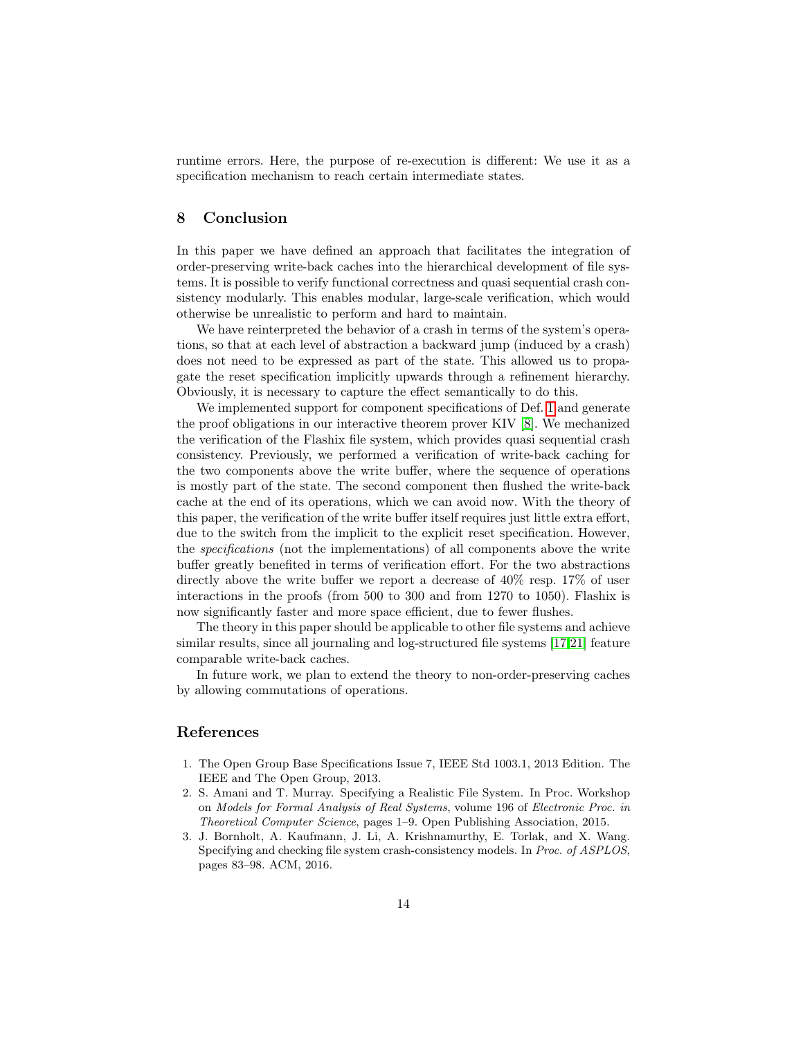runtime errors. Here, the purpose of re-execution is different: We use it as a specification mechanism to reach certain intermediate states.

# 8 Conclusion

In this paper we have defined an approach that facilitates the integration of order-preserving write-back caches into the hierarchical development of file systems. It is possible to verify functional correctness and quasi sequential crash consistency modularly. This enables modular, large-scale verification, which would otherwise be unrealistic to perform and hard to maintain.

We have reinterpreted the behavior of a crash in terms of the system's operations, so that at each level of abstraction a backward jump (induced by a crash) does not need to be expressed as part of the state. This allowed us to propagate the reset specification implicitly upwards through a refinement hierarchy. Obviously, it is necessary to capture the effect semantically to do this.

We implemented support for component specifications of Def. [1](#page-4-3) and generate the proof obligations in our interactive theorem prover KIV [\[8\]](#page-14-1). We mechanized the verification of the Flashix file system, which provides quasi sequential crash consistency. Previously, we performed a verification of write-back caching for the two components above the write buffer, where the sequence of operations is mostly part of the state. The second component then flushed the write-back cache at the end of its operations, which we can avoid now. With the theory of this paper, the verification of the write buffer itself requires just little extra effort, due to the switch from the implicit to the explicit reset specification. However, the specifications (not the implementations) of all components above the write buffer greatly benefited in terms of verification effort. For the two abstractions directly above the write buffer we report a decrease of 40% resp. 17% of user interactions in the proofs (from 500 to 300 and from 1270 to 1050). Flashix is now significantly faster and more space efficient, due to fewer flushes.

The theory in this paper should be applicable to other file systems and achieve similar results, since all journaling and log-structured file systems [\[17,](#page-14-17)[21\]](#page-14-18) feature comparable write-back caches.

In future work, we plan to extend the theory to non-order-preserving caches by allowing commutations of operations.

# References

- <span id="page-13-0"></span>1. The Open Group Base Specifications Issue 7, IEEE Std 1003.1, 2013 Edition. The IEEE and The Open Group, 2013.
- <span id="page-13-2"></span>2. S. Amani and T. Murray. Specifying a Realistic File System. In Proc. Workshop on Models for Formal Analysis of Real Systems, volume 196 of Electronic Proc. in Theoretical Computer Science, pages 1–9. Open Publishing Association, 2015.
- <span id="page-13-1"></span>3. J. Bornholt, A. Kaufmann, J. Li, A. Krishnamurthy, E. Torlak, and X. Wang. Specifying and checking file system crash-consistency models. In Proc. of ASPLOS, pages 83–98. ACM, 2016.